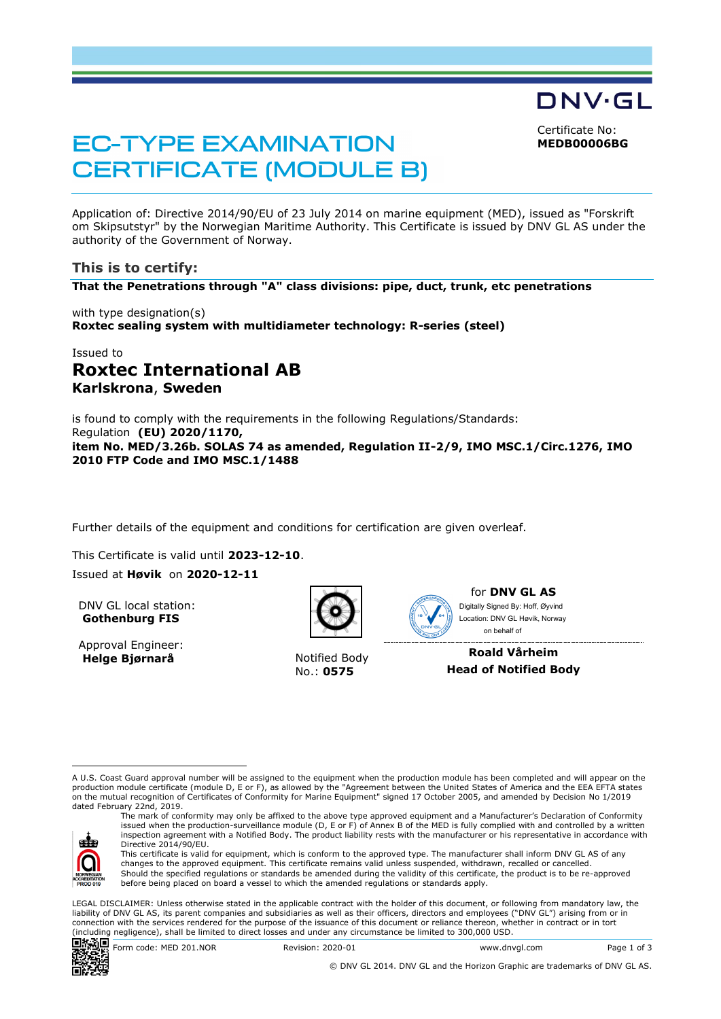Certificate No:

DNV·GL

**MEDB00006BG**

# **EC-TYPE EXAMINATION CERTIFICATE (MODULE B)**

Application of: Directive 2014/90/EU of 23 July 2014 on marine equipment (MED), issued as "Forskrift om Skipsutstyr" by the Norwegian Maritime Authority. This Certificate is issued by DNV GL AS under the authority of the Government of Norway.

# **This is to certify:**

**That the Penetrations through "A" class divisions: pipe, duct, trunk, etc penetrations**

with type designation(s) **Roxtec sealing system with multidiameter technology: R-series (steel)**

# Issued to **Roxtec International AB Karlskrona**, **Sweden**

is found to comply with the requirements in the following Regulations/Standards: Regulation **(EU) 2020/1170, item No. MED/3.26b. SOLAS 74 as amended, Regulation II-2/9, IMO MSC.1/Circ.1276, IMO 2010 FTP Code and IMO MSC.1/1488**

Further details of the equipment and conditions for certification are given overleaf.

This Certificate is valid until **2023-12-10**. Issued at **Høvik** on **2020-12-11**

DNV GL local station: **Gothenburg FIS**

Approval Engineer: **Helge Bjørnarå** Notified Body



No.: **0575**



for **DNV GL AS** on behalf ofDigitally Signed By: Hoff, Øyvind Location: DNV GL Høvik, Norway

**Roald Vårheim Head of Notified Body**

A U.S. Coast Guard approval number will be assigned to the equipment when the production module has been completed and will appear on the production module certificate (module D, E or F), as allowed by the "Agreement between the United States of America and the EEA EFTA states on the mutual recognition of Certificates of Conformity for Marine Equipment" signed 17 October 2005, and amended by Decision No 1/2019 dated February 22nd, 2019.



The mark of conformity may only be affixed to the above type approved equipment and a Manufacturer's Declaration of Conformity issued when the production-surveillance module (D, E or F) of Annex B of the MED is fully complied with and controlled by a written inspection agreement with a Notified Body. The product liability rests with the manufacturer or his representative in accordance with Directive 2014/90/EU.

This certificate is valid for equipment, which is conform to the approved type. The manufacturer shall inform DNV GL AS of any changes to the approved equipment. This certificate remains valid unless suspended, withdrawn, recalled or cancelled. Should the specified regulations or standards be amended during the validity of this certificate, the product is to be re-approved before being placed on board a vessel to which the amended regulations or standards apply.

LEGAL DISCLAIMER: Unless otherwise stated in the applicable contract with the holder of this document, or following from mandatory law, the liability of DNV GL AS, its parent companies and subsidiaries as well as their officers, directors and employees ("DNV GL") arising from or in connection with the services rendered for the purpose of the issuance of this document or reliance thereon, whether in contract or in tort (including negligence), shall be limited to direct losses and under any circumstance be limited to 300,000 USD.



© DNV GL 2014. DNV GL and the Horizon Graphic are trademarks of DNV GL AS.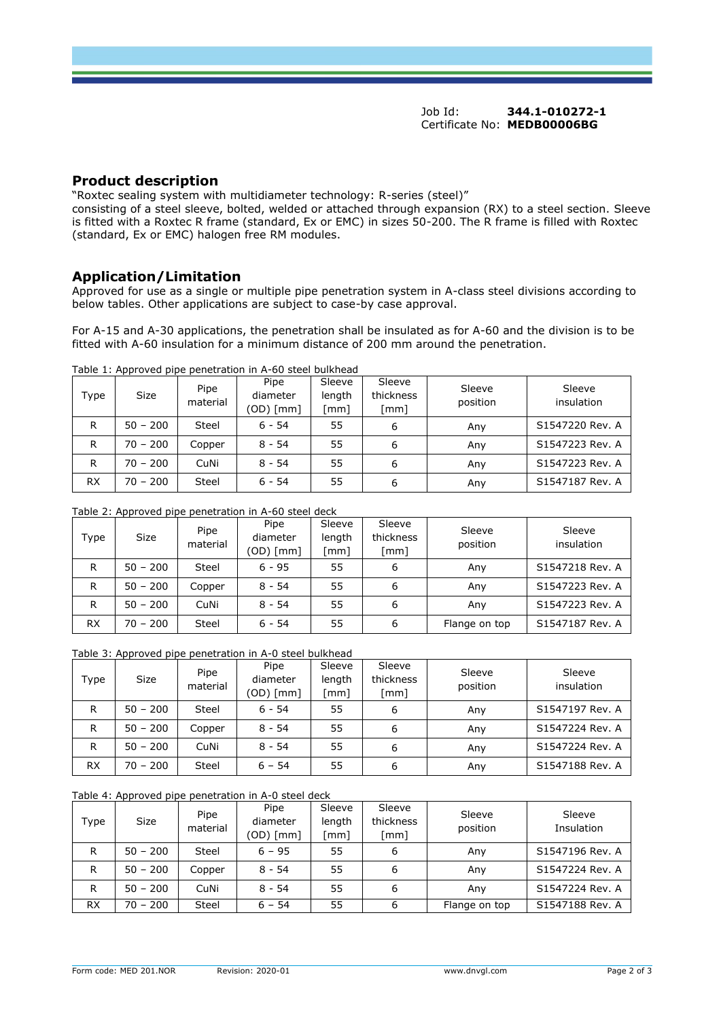# **Product description**

"Roxtec sealing system with multidiameter technology: R-series (steel)"

consisting of a steel sleeve, bolted, welded or attached through expansion (RX) to a steel section. Sleeve is fitted with a Roxtec R frame (standard, Ex or EMC) in sizes 50-200. The R frame is filled with Roxtec (standard, Ex or EMC) halogen free RM modules.

# **Application/Limitation**

Approved for use as a single or multiple pipe penetration system in A-class steel divisions according to below tables. Other applications are subject to case-by case approval.

For A-15 and A-30 applications, the penetration shall be insulated as for A-60 and the division is to be fitted with A-60 insulation for a minimum distance of 200 mm around the penetration.

|  | Table 1: Approved pipe penetration in A-60 steel bulkhead |  |
|--|-----------------------------------------------------------|--|

| Type      | <b>Size</b> | Pipe<br>material | Pipe<br>diameter<br>(OD) [mm] | Sleeve<br>length<br>[mm] | Sleeve<br>thickness<br>[mm] | Sleeve<br>position | Sleeve<br>insulation |
|-----------|-------------|------------------|-------------------------------|--------------------------|-----------------------------|--------------------|----------------------|
| R         | $50 - 200$  | <b>Steel</b>     | $6 - 54$                      | 55                       | 6                           | Any                | S1547220 Rev. A      |
| R         | $70 - 200$  | Copper           | $8 - 54$                      | 55                       | 6                           | Any                | S1547223 Rev. A      |
| R         | $70 - 200$  | CuNi             | $8 - 54$                      | 55                       | 6                           | Anv                | S1547223 Rev. A      |
| <b>RX</b> | $70 - 200$  | <b>Steel</b>     | $6 - 54$                      | 55                       | 6                           | Any                | S1547187 Rev. A      |

# Table 2: Approved pipe penetration in A-60 steel deck

| Type      | <b>Size</b> | Pipe<br>material | Pipe<br>diameter<br>(OD) [mm] | Sleeve<br>length<br>[mm] | Sleeve<br>thickness<br>$\lceil mm \rceil$ | Sleeve<br>position | Sleeve<br>insulation |
|-----------|-------------|------------------|-------------------------------|--------------------------|-------------------------------------------|--------------------|----------------------|
| R         | $50 - 200$  | Steel            | $6 - 95$                      | 55                       | 6                                         | Anv                | S1547218 Rev. A      |
| R         | $50 - 200$  | Copper           | $8 - 54$                      | 55                       | 6                                         | Anv                | S1547223 Rev. A      |
| R         | $50 - 200$  | CuNi             | $8 - 54$                      | 55                       | 6                                         | Anv                | S1547223 Rev. A      |
| <b>RX</b> | $70 - 200$  | <b>Steel</b>     | $6 - 54$                      | 55                       | 6                                         | Flange on top      | S1547187 Rev. A      |

#### Table 3: Approved pipe penetration in A-0 steel bulkhead

| Type      | . .<br><b>Size</b> | Pipe<br>material | Pipe<br>diameter<br>(OD) [mm] | Sleeve<br>length<br>$\lceil mm \rceil$ | Sleeve<br>thickness<br>[mm] | Sleeve<br>position | Sleeve<br>insulation |
|-----------|--------------------|------------------|-------------------------------|----------------------------------------|-----------------------------|--------------------|----------------------|
| R         | $50 - 200$         | <b>Steel</b>     | $6 - 54$                      | 55                                     | 6                           | Anv                | S1547197 Rev. A      |
| R         | $50 - 200$         | Copper           | $8 - 54$                      | 55                                     | 6                           | Anv                | S1547224 Rev. A      |
| R         | $50 - 200$         | CuNi             | $8 - 54$                      | 55                                     | 6                           | Anv                | S1547224 Rev. A      |
| <b>RX</b> | $70 - 200$         | <b>Steel</b>     | $6 - 54$                      | 55                                     | 6                           | Any                | S1547188 Rev. A      |

# Table 4: Approved pipe penetration in A-0 steel deck

| Type      | <b>Size</b> | Pipe<br>material | Pipe<br>diameter<br>(OD) [mm] | Sleeve<br>length<br>[mm] | Sleeve<br>thickness<br>[mm] | Sleeve<br>position | Sleeve<br>Insulation |
|-----------|-------------|------------------|-------------------------------|--------------------------|-----------------------------|--------------------|----------------------|
| R         | $50 - 200$  | <b>Steel</b>     | $6 - 95$                      | 55                       | 6                           | Any                | S1547196 Rev. A      |
| R         | $50 - 200$  | Copper           | $8 - 54$                      | 55                       | 6                           | Anv                | S1547224 Rev. A      |
| R         | $50 - 200$  | CuNi             | $8 - 54$                      | 55                       | 6                           | Anv                | S1547224 Rev. A      |
| <b>RX</b> | $70 - 200$  | <b>Steel</b>     | $6 - 54$                      | 55                       | 6                           | Flange on top      | S1547188 Rev. A      |